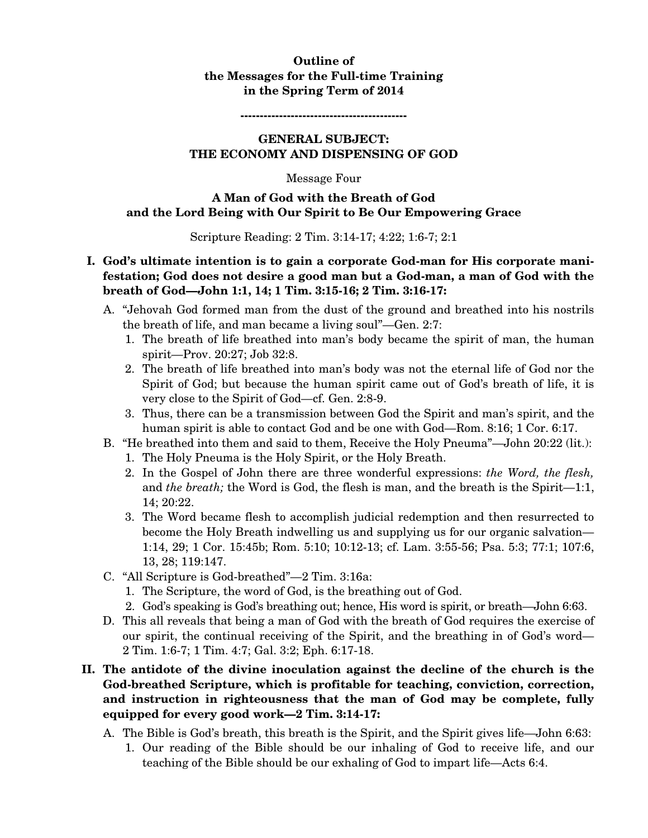### **Outline of the Messages for the Full-time Training in the Spring Term of 2014**

**-------------------------------------------** 

#### **GENERAL SUBJECT: THE ECONOMY AND DISPENSING OF GOD**

#### Message Four

## **A Man of God with the Breath of God and the Lord Being with Our Spirit to Be Our Empowering Grace**

Scripture Reading: 2 Tim. 3:14-17; 4:22; 1:6-7; 2:1

# **I. God's ultimate intention is to gain a corporate God-man for His corporate manifestation; God does not desire a good man but a God-man, a man of God with the breath of God—John 1:1, 14; 1 Tim. 3:15-16; 2 Tim. 3:16-17:**

- A. "Jehovah God formed man from the dust of the ground and breathed into his nostrils the breath of life, and man became a living soul"—Gen. 2:7:
	- 1. The breath of life breathed into man's body became the spirit of man, the human spirit—Prov. 20:27; Job 32:8.
	- 2. The breath of life breathed into man's body was not the eternal life of God nor the Spirit of God; but because the human spirit came out of God's breath of life, it is very close to the Spirit of God—cf. Gen. 2:8-9.
	- 3. Thus, there can be a transmission between God the Spirit and man's spirit, and the human spirit is able to contact God and be one with God—Rom. 8:16; 1 Cor. 6:17.
- B. "He breathed into them and said to them, Receive the Holy Pneuma"—John 20:22 (lit.):
	- 1. The Holy Pneuma is the Holy Spirit, or the Holy Breath.
	- 2. In the Gospel of John there are three wonderful expressions: *the Word, the flesh,*  and *the breath;* the Word is God, the flesh is man, and the breath is the Spirit—1:1, 14; 20:22.
	- 3. The Word became flesh to accomplish judicial redemption and then resurrected to become the Holy Breath indwelling us and supplying us for our organic salvation— 1:14, 29; 1 Cor. 15:45b; Rom. 5:10; 10:12-13; cf. Lam. 3:55-56; Psa. 5:3; 77:1; 107:6, 13, 28; 119:147.
- C. "All Scripture is God-breathed"—2 Tim. 3:16a:
	- 1. The Scripture, the word of God, is the breathing out of God.
	- 2. God's speaking is God's breathing out; hence, His word is spirit, or breath—John 6:63.
- D. This all reveals that being a man of God with the breath of God requires the exercise of our spirit, the continual receiving of the Spirit, and the breathing in of God's word— 2 Tim. 1:6-7; 1 Tim. 4:7; Gal. 3:2; Eph. 6:17-18.

## **II. The antidote of the divine inoculation against the decline of the church is the God-breathed Scripture, which is profitable for teaching, conviction, correction, and instruction in righteousness that the man of God may be complete, fully equipped for every good work—2 Tim. 3:14-17:**

- A. The Bible is God's breath, this breath is the Spirit, and the Spirit gives life—John 6:63:
	- 1. Our reading of the Bible should be our inhaling of God to receive life, and our teaching of the Bible should be our exhaling of God to impart life—Acts 6:4.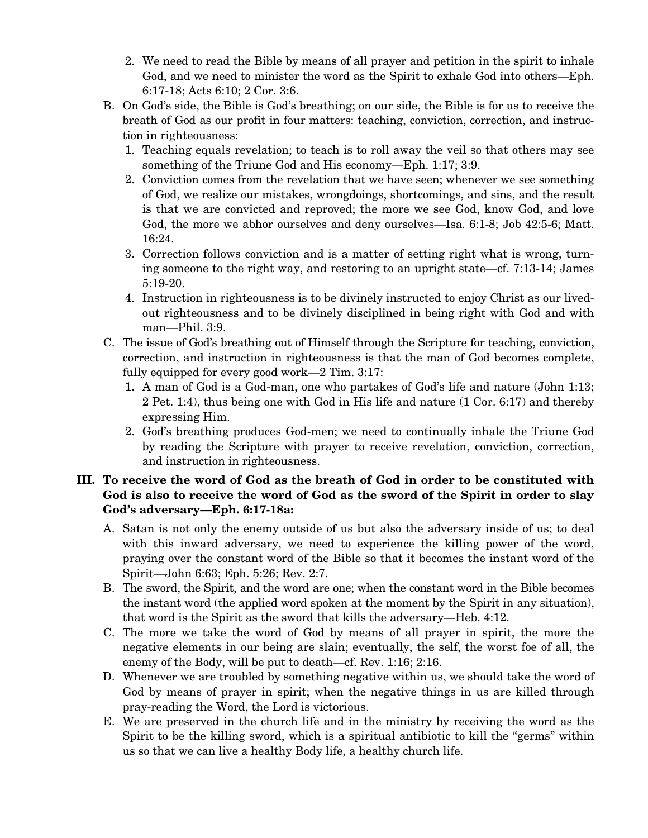- 2. We need to read the Bible by means of all prayer and petition in the spirit to inhale God, and we need to minister the word as the Spirit to exhale God into others—Eph. 6:17-18; Acts 6:10; 2 Cor. 3:6.
- B. On God's side, the Bible is God's breathing; on our side, the Bible is for us to receive the breath of God as our profit in four matters: teaching, conviction, correction, and instruction in righteousness:
	- 1. Teaching equals revelation; to teach is to roll away the veil so that others may see something of the Triune God and His economy—Eph. 1:17; 3:9.
	- 2. Conviction comes from the revelation that we have seen; whenever we see something of God, we realize our mistakes, wrongdoings, shortcomings, and sins, and the result is that we are convicted and reproved; the more we see God, know God, and love God, the more we abhor ourselves and deny ourselves—Isa. 6:1-8; Job 42:5-6; Matt. 16:24.
	- 3. Correction follows conviction and is a matter of setting right what is wrong, turning someone to the right way, and restoring to an upright state—cf. 7:13-14; James 5:19-20.
	- 4. Instruction in righteousness is to be divinely instructed to enjoy Christ as our livedout righteousness and to be divinely disciplined in being right with God and with man—Phil. 3:9.
- C. The issue of God's breathing out of Himself through the Scripture for teaching, conviction, correction, and instruction in righteousness is that the man of God becomes complete, fully equipped for every good work—2 Tim. 3:17:
	- 1. A man of God is a God-man, one who partakes of God's life and nature (John 1:13; 2 Pet. 1:4), thus being one with God in His life and nature (1 Cor. 6:17) and thereby expressing Him.
	- 2. God's breathing produces God-men; we need to continually inhale the Triune God by reading the Scripture with prayer to receive revelation, conviction, correction, and instruction in righteousness.

# **III. To receive the word of God as the breath of God in order to be constituted with God is also to receive the word of God as the sword of the Spirit in order to slay God's adversary—Eph. 6:17-18a:**

- A. Satan is not only the enemy outside of us but also the adversary inside of us; to deal with this inward adversary, we need to experience the killing power of the word, praying over the constant word of the Bible so that it becomes the instant word of the Spirit—John 6:63; Eph. 5:26; Rev. 2:7.
- B. The sword, the Spirit, and the word are one; when the constant word in the Bible becomes the instant word (the applied word spoken at the moment by the Spirit in any situation), that word is the Spirit as the sword that kills the adversary—Heb. 4:12.
- C. The more we take the word of God by means of all prayer in spirit, the more the negative elements in our being are slain; eventually, the self, the worst foe of all, the enemy of the Body, will be put to death—cf. Rev. 1:16; 2:16.
- D. Whenever we are troubled by something negative within us, we should take the word of God by means of prayer in spirit; when the negative things in us are killed through pray-reading the Word, the Lord is victorious.
- E. We are preserved in the church life and in the ministry by receiving the word as the Spirit to be the killing sword, which is a spiritual antibiotic to kill the "germs" within us so that we can live a healthy Body life, a healthy church life.